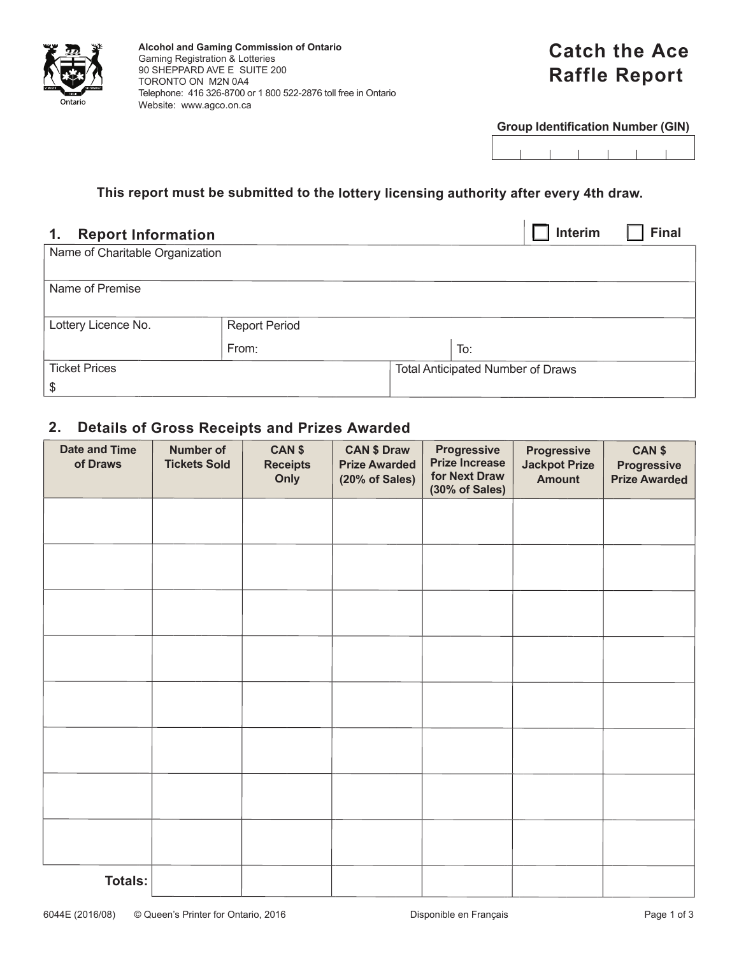

# **Catch the Ace Raffle Report**

**Group Identification Number (GIN)**

#### **This report must be submitted to the lottery licensing authority after every 4th draw.**

## **1. Report Information** ❑ **Interim** ❑ **Final** Name of Charitable Organization Name of Premise Lottery Licence No. Report Period From: To: Ticket Prices \$ Total Anticipated Number of Draws

### **2. Details of Gross Receipts and Prizes Awarded**

| <b>Date and Time</b><br>of Draws | <b>Number of</b><br><b>Tickets Sold</b> | CAN \$<br><b>Receipts</b><br>Only | <b>CAN \$ Draw</b><br><b>Prize Awarded</b><br>(20% of Sales) | <b>Progressive</b><br><b>Prize Increase</b><br>for Next Draw<br>(30% of Sales) | <b>Progressive</b><br><b>Jackpot Prize</b><br><b>Amount</b> | CAN \$<br>Progressive<br><b>Prize Awarded</b> |
|----------------------------------|-----------------------------------------|-----------------------------------|--------------------------------------------------------------|--------------------------------------------------------------------------------|-------------------------------------------------------------|-----------------------------------------------|
|                                  |                                         |                                   |                                                              |                                                                                |                                                             |                                               |
|                                  |                                         |                                   |                                                              |                                                                                |                                                             |                                               |
|                                  |                                         |                                   |                                                              |                                                                                |                                                             |                                               |
|                                  |                                         |                                   |                                                              |                                                                                |                                                             |                                               |
|                                  |                                         |                                   |                                                              |                                                                                |                                                             |                                               |
|                                  |                                         |                                   |                                                              |                                                                                |                                                             |                                               |
|                                  |                                         |                                   |                                                              |                                                                                |                                                             |                                               |
|                                  |                                         |                                   |                                                              |                                                                                |                                                             |                                               |
| <b>Totals:</b>                   |                                         |                                   |                                                              |                                                                                |                                                             |                                               |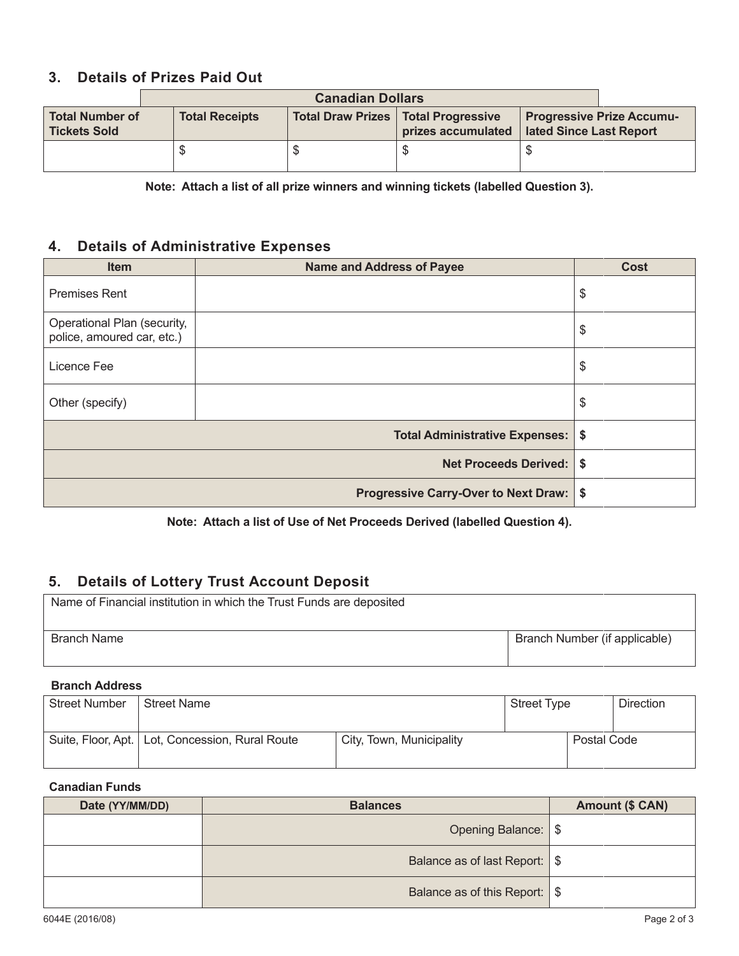### **3. Details of Prizes Paid Out**

| <b>Canadian Dollars</b>                       |                       |  |                                                             |                         |                                  |
|-----------------------------------------------|-----------------------|--|-------------------------------------------------------------|-------------------------|----------------------------------|
| <b>Total Number of</b><br><b>Tickets Sold</b> | <b>Total Receipts</b> |  | Total Draw Prizes   Total Progressive<br>prizes accumulated | lated Since Last Report | <b>Progressive Prize Accumu-</b> |
|                                               |                       |  |                                                             |                         |                                  |

**Note: Attach a list of all prize winners and winning tickets (labelled Question 3).**

#### **4. Details of Administrative Expenses**

| <b>Item</b>                                               | <b>Name and Address of Payee</b>        | <b>Cost</b> |
|-----------------------------------------------------------|-----------------------------------------|-------------|
| <b>Premises Rent</b>                                      |                                         | \$          |
| Operational Plan (security,<br>police, amoured car, etc.) |                                         | \$          |
| Licence Fee                                               |                                         | \$          |
| Other (specify)                                           |                                         | \$          |
|                                                           | Total Administrative Expenses:   \$     |             |
|                                                           | <b>Net Proceeds Derived: \$</b>         |             |
|                                                           | Progressive Carry-Over to Next Draw: \$ |             |

**Note: Attach a list of Use of Net Proceeds Derived (labelled Question 4).**

### **5. Details of Lottery Trust Account Deposit**

| Name of Financial institution in which the Trust Funds are deposited |                               |  |  |  |
|----------------------------------------------------------------------|-------------------------------|--|--|--|
| <b>Branch Name</b>                                                   | Branch Number (if applicable) |  |  |  |

#### **Branch Address**

| <b>Street Number</b> | <b>Street Name</b>                                |                          | <b>Street Type</b> |             | <b>Direction</b> |
|----------------------|---------------------------------------------------|--------------------------|--------------------|-------------|------------------|
|                      | Suite, Floor, Apt.   Lot, Concession, Rural Route | City, Town, Municipality |                    | Postal Code |                  |

#### **Canadian Funds**

| Date (YY/MM/DD) | <b>Balances</b>                          | <b>Amount (\$ CAN)</b> |
|-----------------|------------------------------------------|------------------------|
|                 | Opening Balance:   \$                    |                        |
|                 | Balance as of last Report:   \$          |                        |
|                 | Balance as of this Report: $\frac{1}{5}$ |                        |